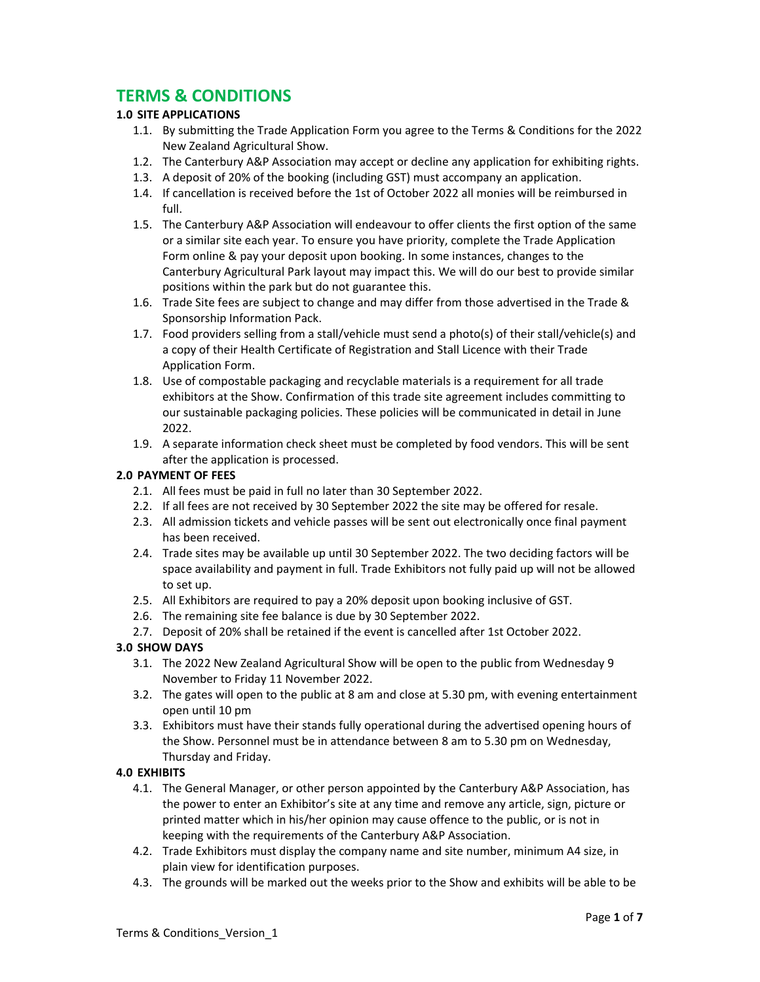# **TERMS & CONDITIONS**

# **1.0 SITE APPLICATIONS**

- 1.1. By submitting the Trade Application Form you agree to the Terms & Conditions for the 2022 New Zealand Agricultural Show.
- 1.2. The Canterbury A&P Association may accept or decline any application for exhibiting rights.
- 1.3. A deposit of 20% of the booking (including GST) must accompany an application.
- 1.4. If cancellation is received before the 1st of October 2022 all monies will be reimbursed in full.
- 1.5. The Canterbury A&P Association will endeavour to offer clients the first option of the same or a similar site each year. To ensure you have priority, complete the Trade Application Form online & pay your deposit upon booking. In some instances, changes to the Canterbury Agricultural Park layout may impact this. We will do our best to provide similar positions within the park but do not guarantee this.
- 1.6. Trade Site fees are subject to change and may differ from those advertised in the Trade & Sponsorship Information Pack.
- 1.7. Food providers selling from a stall/vehicle must send a photo(s) of their stall/vehicle(s) and a copy of their Health Certificate of Registration and Stall Licence with their Trade Application Form.
- 1.8. Use of compostable packaging and recyclable materials is a requirement for all trade exhibitors at the Show. Confirmation of this trade site agreement includes committing to our sustainable packaging policies. These policies will be communicated in detail in June 2022.
- 1.9. A separate information check sheet must be completed by food vendors. This will be sent after the application is processed.

# **2.0 PAYMENT OF FEES**

- 2.1. All fees must be paid in full no later than 30 September 2022.
- 2.2. If all fees are not received by 30 September 2022 the site may be offered for resale.
- 2.3. All admission tickets and vehicle passes will be sent out electronically once final payment has been received.
- 2.4. Trade sites may be available up until 30 September 2022. The two deciding factors will be space availability and payment in full. Trade Exhibitors not fully paid up will not be allowed to set up.
- 2.5. All Exhibitors are required to pay a 20% deposit upon booking inclusive of GST.
- 2.6. The remaining site fee balance is due by 30 September 2022.
- 2.7. Deposit of 20% shall be retained if the event is cancelled after 1st October 2022.

# **3.0 SHOW DAYS**

- 3.1. The 2022 New Zealand Agricultural Show will be open to the public from Wednesday 9 November to Friday 11 November 2022.
- 3.2. The gates will open to the public at 8 am and close at 5.30 pm, with evening entertainment open until 10 pm
- 3.3. Exhibitors must have their stands fully operational during the advertised opening hours of the Show. Personnel must be in attendance between 8 am to 5.30 pm on Wednesday, Thursday and Friday.

#### **4.0 EXHIBITS**

- 4.1. The General Manager, or other person appointed by the Canterbury A&P Association, has the power to enter an Exhibitor's site at any time and remove any article, sign, picture or printed matter which in his/her opinion may cause offence to the public, or is not in keeping with the requirements of the Canterbury A&P Association.
- 4.2. Trade Exhibitors must display the company name and site number, minimum A4 size, in plain view for identification purposes.
- 4.3. The grounds will be marked out the weeks prior to the Show and exhibits will be able to be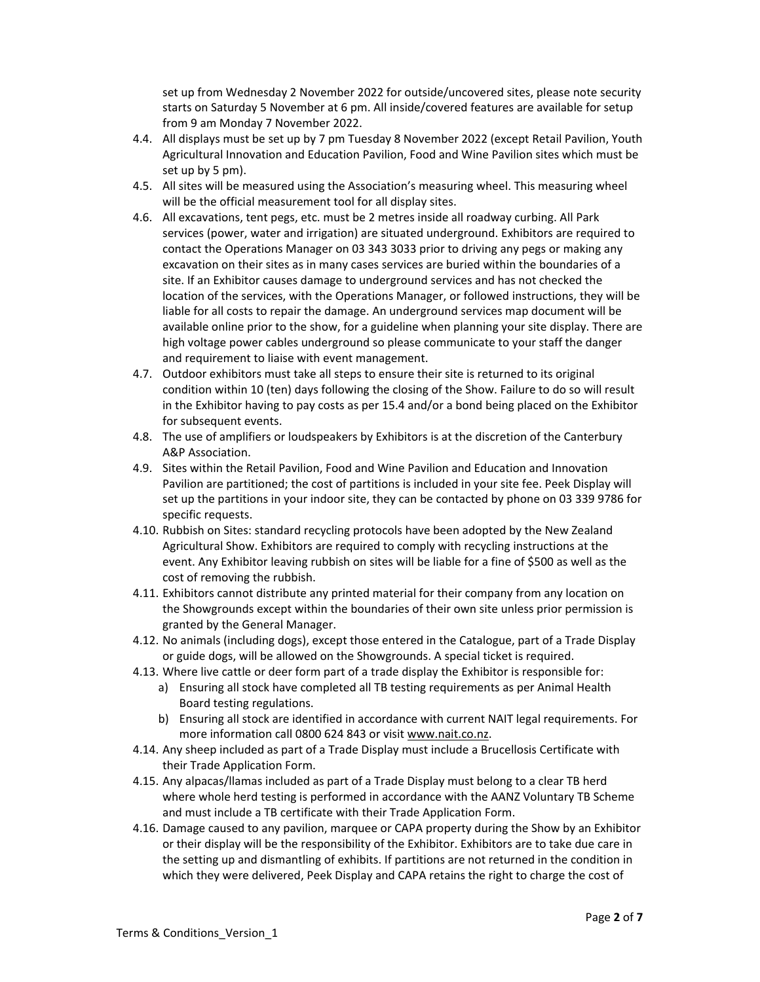set up from Wednesday 2 November 2022 for outside/uncovered sites, please note security starts on Saturday 5 November at 6 pm. All inside/covered features are available for setup from 9 am Monday 7 November 2022.

- 4.4. All displays must be set up by 7 pm Tuesday 8 November 2022 (except Retail Pavilion, Youth Agricultural Innovation and Education Pavilion, Food and Wine Pavilion sites which must be set up by 5 pm).
- 4.5. All sites will be measured using the Association's measuring wheel. This measuring wheel will be the official measurement tool for all display sites.
- 4.6. All excavations, tent pegs, etc. must be 2 metres inside all roadway curbing. All Park services (power, water and irrigation) are situated underground. Exhibitors are required to contact the Operations Manager on 03 343 3033 prior to driving any pegs or making any excavation on their sites as in many cases services are buried within the boundaries of a site. If an Exhibitor causes damage to underground services and has not checked the location of the services, with the Operations Manager, or followed instructions, they will be liable for all costs to repair the damage. An underground services map document will be available online prior to the show, for a guideline when planning your site display. There are high voltage power cables underground so please communicate to your staff the danger and requirement to liaise with event management.
- 4.7. Outdoor exhibitors must take all steps to ensure their site is returned to its original condition within 10 (ten) days following the closing of the Show. Failure to do so will result in the Exhibitor having to pay costs as per 15.4 and/or a bond being placed on the Exhibitor for subsequent events.
- 4.8. The use of amplifiers or loudspeakers by Exhibitors is at the discretion of the Canterbury A&P Association.
- 4.9. Sites within the Retail Pavilion, Food and Wine Pavilion and Education and Innovation Pavilion are partitioned; the cost of partitions is included in your site fee. Peek Display will set up the partitions in your indoor site, they can be contacted by phone on 03 339 9786 for specific requests.
- 4.10. Rubbish on Sites: standard recycling protocols have been adopted by the New Zealand Agricultural Show. Exhibitors are required to comply with recycling instructions at the event. Any Exhibitor leaving rubbish on sites will be liable for a fine of \$500 as well as the cost of removing the rubbish.
- 4.11. Exhibitors cannot distribute any printed material for their company from any location on the Showgrounds except within the boundaries of their own site unless prior permission is granted by the General Manager.
- 4.12. No animals (including dogs), except those entered in the Catalogue, part of a Trade Display or guide dogs, will be allowed on the Showgrounds. A special ticket is required.
- 4.13. Where live cattle or deer form part of a trade display the Exhibitor is responsible for:
	- a) Ensuring all stock have completed all TB testing requirements as per Animal Health Board testing regulations.
	- b) Ensuring all stock are identified in accordance with current NAIT legal requirements. For more information call 0800 624 843 or visit www.nait.co.nz.
- 4.14. Any sheep included as part of a Trade Display must include a Brucellosis Certificate with their Trade Application Form.
- 4.15. Any alpacas/llamas included as part of a Trade Display must belong to a clear TB herd where whole herd testing is performed in accordance with the AANZ Voluntary TB Scheme and must include a TB certificate with their Trade Application Form.
- 4.16. Damage caused to any pavilion, marquee or CAPA property during the Show by an Exhibitor or their display will be the responsibility of the Exhibitor. Exhibitors are to take due care in the setting up and dismantling of exhibits. If partitions are not returned in the condition in which they were delivered, Peek Display and CAPA retains the right to charge the cost of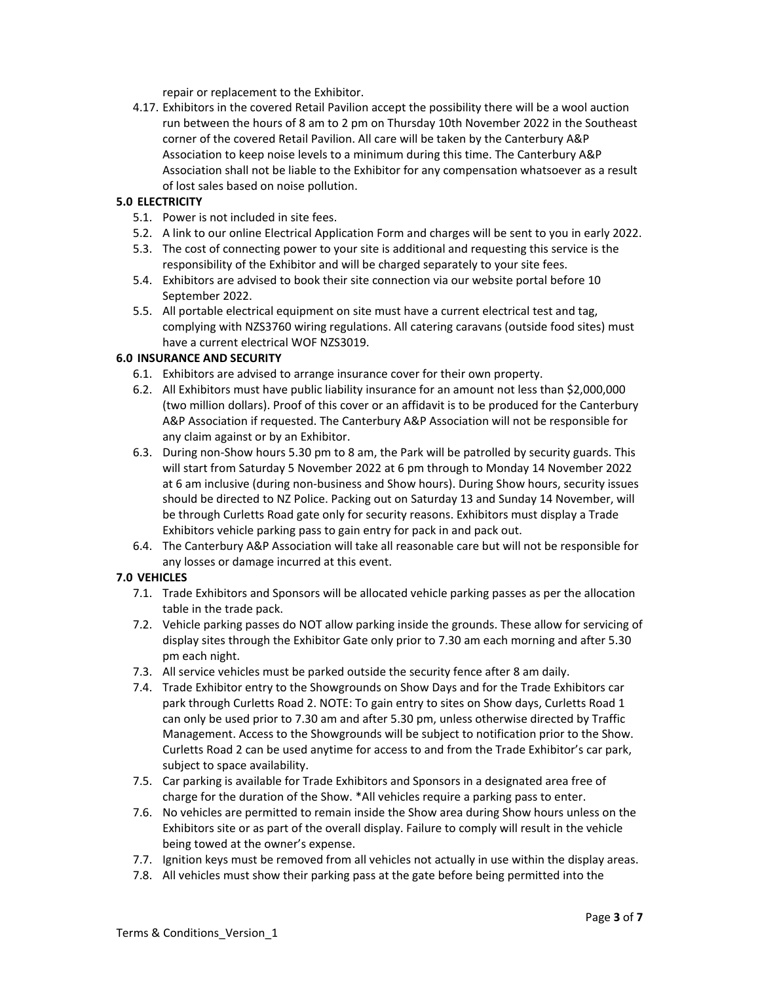repair or replacement to the Exhibitor.

4.17. Exhibitors in the covered Retail Pavilion accept the possibility there will be a wool auction run between the hours of 8 am to 2 pm on Thursday 10th November 2022 in the Southeast corner of the covered Retail Pavilion. All care will be taken by the Canterbury A&P Association to keep noise levels to a minimum during this time. The Canterbury A&P Association shall not be liable to the Exhibitor for any compensation whatsoever as a result of lost sales based on noise pollution.

# **5.0 ELECTRICITY**

- 5.1. Power is not included in site fees.
- 5.2. A link to our online Electrical Application Form and charges will be sent to you in early 2022.
- 5.3. The cost of connecting power to your site is additional and requesting this service is the responsibility of the Exhibitor and will be charged separately to your site fees.
- 5.4. Exhibitors are advised to book their site connection via our website portal before 10 September 2022.
- 5.5. All portable electrical equipment on site must have a current electrical test and tag, complying with NZS3760 wiring regulations. All catering caravans (outside food sites) must have a current electrical WOF NZS3019.

#### **6.0 INSURANCE AND SECURITY**

- 6.1. Exhibitors are advised to arrange insurance cover for their own property.
- 6.2. All Exhibitors must have public liability insurance for an amount not less than \$2,000,000 (two million dollars). Proof of this cover or an affidavit is to be produced for the Canterbury A&P Association if requested. The Canterbury A&P Association will not be responsible for any claim against or by an Exhibitor.
- 6.3. During non‐Show hours 5.30 pm to 8 am, the Park will be patrolled by security guards. This will start from Saturday 5 November 2022 at 6 pm through to Monday 14 November 2022 at 6 am inclusive (during non‐business and Show hours). During Show hours, security issues should be directed to NZ Police. Packing out on Saturday 13 and Sunday 14 November, will be through Curletts Road gate only for security reasons. Exhibitors must display a Trade Exhibitors vehicle parking pass to gain entry for pack in and pack out.
- 6.4. The Canterbury A&P Association will take all reasonable care but will not be responsible for any losses or damage incurred at this event.

# **7.0 VEHICLES**

- 7.1. Trade Exhibitors and Sponsors will be allocated vehicle parking passes as per the allocation table in the trade pack.
- 7.2. Vehicle parking passes do NOT allow parking inside the grounds. These allow for servicing of display sites through the Exhibitor Gate only prior to 7.30 am each morning and after 5.30 pm each night.
- 7.3. All service vehicles must be parked outside the security fence after 8 am daily.
- 7.4. Trade Exhibitor entry to the Showgrounds on Show Days and for the Trade Exhibitors car park through Curletts Road 2. NOTE: To gain entry to sites on Show days, Curletts Road 1 can only be used prior to 7.30 am and after 5.30 pm, unless otherwise directed by Traffic Management. Access to the Showgrounds will be subject to notification prior to the Show. Curletts Road 2 can be used anytime for access to and from the Trade Exhibitor's car park, subject to space availability.
- 7.5. Car parking is available for Trade Exhibitors and Sponsors in a designated area free of charge for the duration of the Show. \*All vehicles require a parking pass to enter.
- 7.6. No vehicles are permitted to remain inside the Show area during Show hours unless on the Exhibitors site or as part of the overall display. Failure to comply will result in the vehicle being towed at the owner's expense.
- 7.7. Ignition keys must be removed from all vehicles not actually in use within the display areas.
- 7.8. All vehicles must show their parking pass at the gate before being permitted into the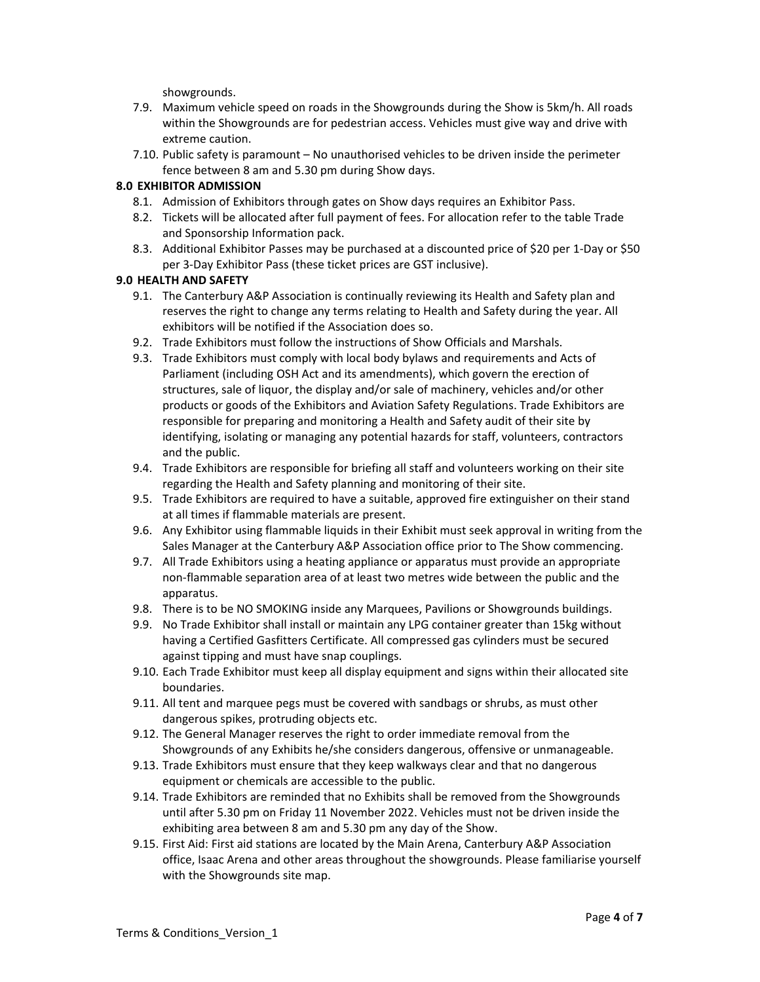showgrounds.

- 7.9. Maximum vehicle speed on roads in the Showgrounds during the Show is 5km/h. All roads within the Showgrounds are for pedestrian access. Vehicles must give way and drive with extreme caution.
- 7.10. Public safety is paramount No unauthorised vehicles to be driven inside the perimeter fence between 8 am and 5.30 pm during Show days.

#### **8.0 EXHIBITOR ADMISSION**

- 8.1. Admission of Exhibitors through gates on Show days requires an Exhibitor Pass.
- 8.2. Tickets will be allocated after full payment of fees. For allocation refer to the table Trade and Sponsorship Information pack.
- 8.3. Additional Exhibitor Passes may be purchased at a discounted price of \$20 per 1‐Day or \$50 per 3‐Day Exhibitor Pass (these ticket prices are GST inclusive).

#### **9.0 HEALTH AND SAFETY**

- 9.1. The Canterbury A&P Association is continually reviewing its Health and Safety plan and reserves the right to change any terms relating to Health and Safety during the year. All exhibitors will be notified if the Association does so.
- 9.2. Trade Exhibitors must follow the instructions of Show Officials and Marshals.
- 9.3. Trade Exhibitors must comply with local body bylaws and requirements and Acts of Parliament (including OSH Act and its amendments), which govern the erection of structures, sale of liquor, the display and/or sale of machinery, vehicles and/or other products or goods of the Exhibitors and Aviation Safety Regulations. Trade Exhibitors are responsible for preparing and monitoring a Health and Safety audit of their site by identifying, isolating or managing any potential hazards for staff, volunteers, contractors and the public.
- 9.4. Trade Exhibitors are responsible for briefing all staff and volunteers working on their site regarding the Health and Safety planning and monitoring of their site.
- 9.5. Trade Exhibitors are required to have a suitable, approved fire extinguisher on their stand at all times if flammable materials are present.
- 9.6. Any Exhibitor using flammable liquids in their Exhibit must seek approval in writing from the Sales Manager at the Canterbury A&P Association office prior to The Show commencing.
- 9.7. All Trade Exhibitors using a heating appliance or apparatus must provide an appropriate non‐flammable separation area of at least two metres wide between the public and the apparatus.
- 9.8. There is to be NO SMOKING inside any Marquees, Pavilions or Showgrounds buildings.
- 9.9. No Trade Exhibitor shall install or maintain any LPG container greater than 15kg without having a Certified Gasfitters Certificate. All compressed gas cylinders must be secured against tipping and must have snap couplings.
- 9.10. Each Trade Exhibitor must keep all display equipment and signs within their allocated site boundaries.
- 9.11. All tent and marquee pegs must be covered with sandbags or shrubs, as must other dangerous spikes, protruding objects etc.
- 9.12. The General Manager reserves the right to order immediate removal from the Showgrounds of any Exhibits he/she considers dangerous, offensive or unmanageable.
- 9.13. Trade Exhibitors must ensure that they keep walkways clear and that no dangerous equipment or chemicals are accessible to the public.
- 9.14. Trade Exhibitors are reminded that no Exhibits shall be removed from the Showgrounds until after 5.30 pm on Friday 11 November 2022. Vehicles must not be driven inside the exhibiting area between 8 am and 5.30 pm any day of the Show.
- 9.15. First Aid: First aid stations are located by the Main Arena, Canterbury A&P Association office, Isaac Arena and other areas throughout the showgrounds. Please familiarise yourself with the Showgrounds site map.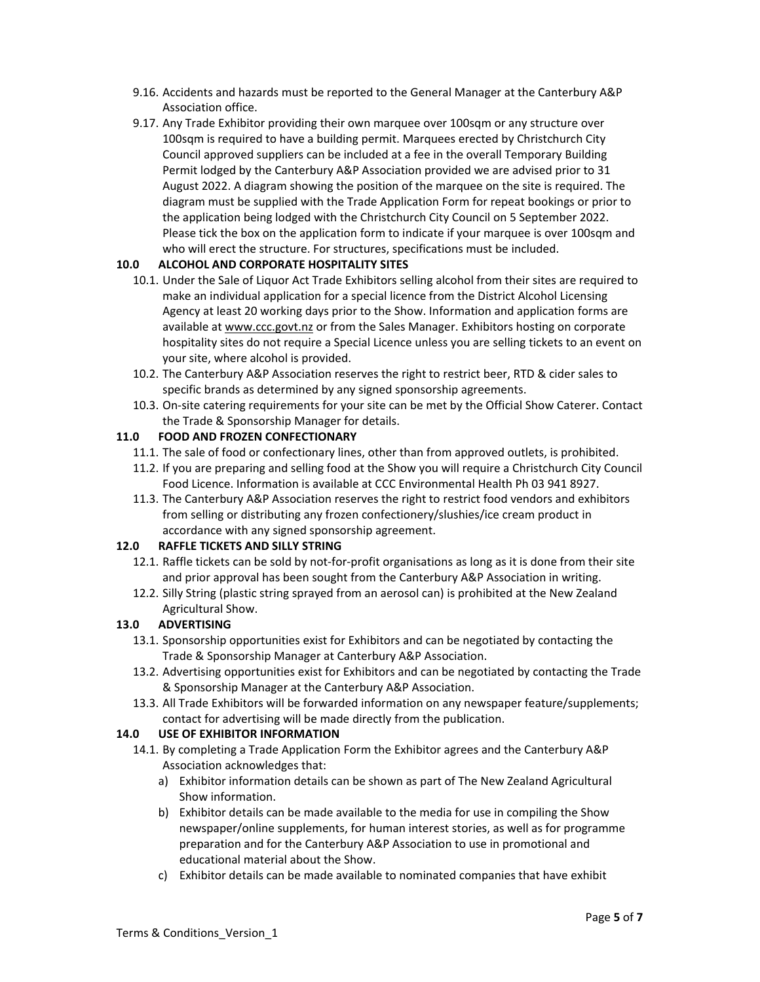- 9.16. Accidents and hazards must be reported to the General Manager at the Canterbury A&P Association office.
- 9.17. Any Trade Exhibitor providing their own marquee over 100sqm or any structure over 100sqm is required to have a building permit. Marquees erected by Christchurch City Council approved suppliers can be included at a fee in the overall Temporary Building Permit lodged by the Canterbury A&P Association provided we are advised prior to 31 August 2022. A diagram showing the position of the marquee on the site is required. The diagram must be supplied with the Trade Application Form for repeat bookings or prior to the application being lodged with the Christchurch City Council on 5 September 2022. Please tick the box on the application form to indicate if your marquee is over 100sqm and who will erect the structure. For structures, specifications must be included.

#### **10.0 ALCOHOL AND CORPORATE HOSPITALITY SITES**

- 10.1. Under the Sale of Liquor Act Trade Exhibitors selling alcohol from their sites are required to make an individual application for a special licence from the District Alcohol Licensing Agency at least 20 working days prior to the Show. Information and application forms are available at www.ccc.govt.nz or from the Sales Manager. Exhibitors hosting on corporate hospitality sites do not require a Special Licence unless you are selling tickets to an event on your site, where alcohol is provided.
- 10.2. The Canterbury A&P Association reserves the right to restrict beer, RTD & cider sales to specific brands as determined by any signed sponsorship agreements.
- 10.3. On‐site catering requirements for your site can be met by the Official Show Caterer. Contact the Trade & Sponsorship Manager for details.

#### **11.0 FOOD AND FROZEN CONFECTIONARY**

- 11.1. The sale of food or confectionary lines, other than from approved outlets, is prohibited.
- 11.2. If you are preparing and selling food at the Show you will require a Christchurch City Council Food Licence. Information is available at CCC Environmental Health Ph 03 941 8927.
- 11.3. The Canterbury A&P Association reserves the right to restrict food vendors and exhibitors from selling or distributing any frozen confectionery/slushies/ice cream product in accordance with any signed sponsorship agreement.

#### **12.0 RAFFLE TICKETS AND SILLY STRING**

- 12.1. Raffle tickets can be sold by not-for-profit organisations as long as it is done from their site and prior approval has been sought from the Canterbury A&P Association in writing.
- 12.2. Silly String (plastic string sprayed from an aerosol can) is prohibited at the New Zealand Agricultural Show.

# **13.0 ADVERTISING**

- 13.1. Sponsorship opportunities exist for Exhibitors and can be negotiated by contacting the Trade & Sponsorship Manager at Canterbury A&P Association.
- 13.2. Advertising opportunities exist for Exhibitors and can be negotiated by contacting the Trade & Sponsorship Manager at the Canterbury A&P Association.
- 13.3. All Trade Exhibitors will be forwarded information on any newspaper feature/supplements; contact for advertising will be made directly from the publication.

#### **14.0 USE OF EXHIBITOR INFORMATION**

- 14.1. By completing a Trade Application Form the Exhibitor agrees and the Canterbury A&P Association acknowledges that:
	- a) Exhibitor information details can be shown as part of The New Zealand Agricultural Show information.
	- b) Exhibitor details can be made available to the media for use in compiling the Show newspaper/online supplements, for human interest stories, as well as for programme preparation and for the Canterbury A&P Association to use in promotional and educational material about the Show.
	- c) Exhibitor details can be made available to nominated companies that have exhibit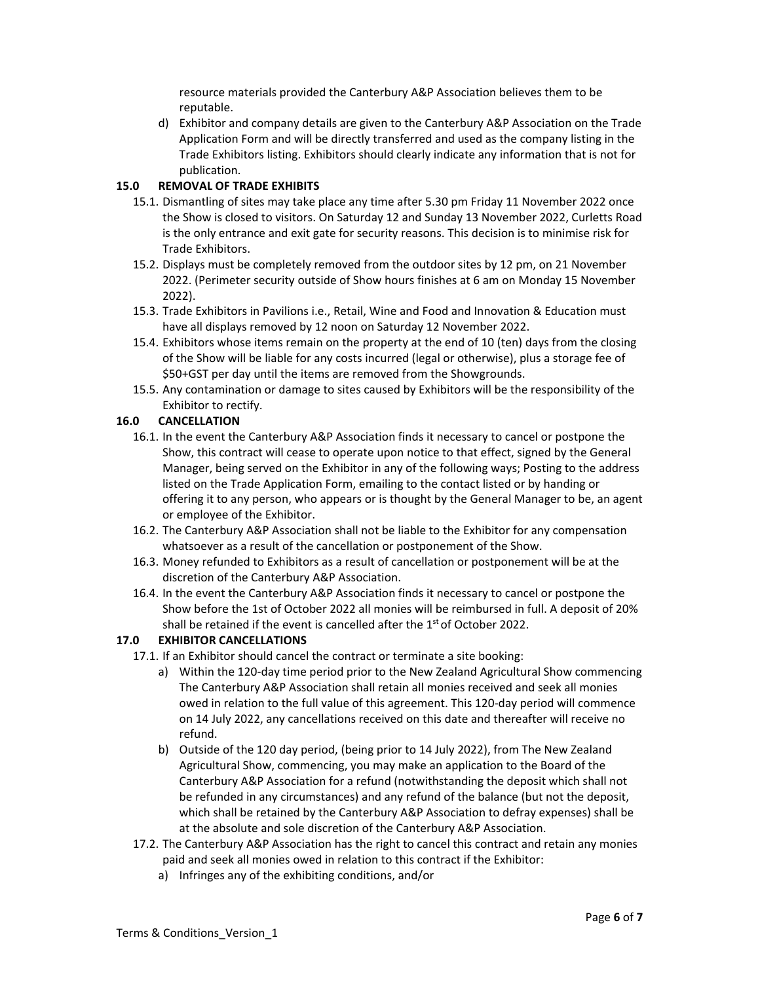resource materials provided the Canterbury A&P Association believes them to be reputable.

d) Exhibitor and company details are given to the Canterbury A&P Association on the Trade Application Form and will be directly transferred and used as the company listing in the Trade Exhibitors listing. Exhibitors should clearly indicate any information that is not for publication.

# **15.0 REMOVAL OF TRADE EXHIBITS**

- 15.1. Dismantling of sites may take place any time after 5.30 pm Friday 11 November 2022 once the Show is closed to visitors. On Saturday 12 and Sunday 13 November 2022, Curletts Road is the only entrance and exit gate for security reasons. This decision is to minimise risk for Trade Exhibitors.
- 15.2. Displays must be completely removed from the outdoor sites by 12 pm, on 21 November 2022. (Perimeter security outside of Show hours finishes at 6 am on Monday 15 November 2022).
- 15.3. Trade Exhibitors in Pavilions i.e., Retail, Wine and Food and Innovation & Education must have all displays removed by 12 noon on Saturday 12 November 2022.
- 15.4. Exhibitors whose items remain on the property at the end of 10 (ten) days from the closing of the Show will be liable for any costs incurred (legal or otherwise), plus a storage fee of \$50+GST per day until the items are removed from the Showgrounds.
- 15.5. Any contamination or damage to sites caused by Exhibitors will be the responsibility of the Exhibitor to rectify.

# **16.0 CANCELLATION**

- 16.1. In the event the Canterbury A&P Association finds it necessary to cancel or postpone the Show, this contract will cease to operate upon notice to that effect, signed by the General Manager, being served on the Exhibitor in any of the following ways; Posting to the address listed on the Trade Application Form, emailing to the contact listed or by handing or offering it to any person, who appears or is thought by the General Manager to be, an agent or employee of the Exhibitor.
- 16.2. The Canterbury A&P Association shall not be liable to the Exhibitor for any compensation whatsoever as a result of the cancellation or postponement of the Show.
- 16.3. Money refunded to Exhibitors as a result of cancellation or postponement will be at the discretion of the Canterbury A&P Association.
- 16.4. In the event the Canterbury A&P Association finds it necessary to cancel or postpone the Show before the 1st of October 2022 all monies will be reimbursed in full. A deposit of 20% shall be retained if the event is cancelled after the  $1<sup>st</sup>$  of October 2022.

# **17.0 EXHIBITOR CANCELLATIONS**

- 17.1. If an Exhibitor should cancel the contract or terminate a site booking:
	- a) Within the 120‐day time period prior to the New Zealand Agricultural Show commencing The Canterbury A&P Association shall retain all monies received and seek all monies owed in relation to the full value of this agreement. This 120-day period will commence on 14 July 2022, any cancellations received on this date and thereafter will receive no refund.
	- b) Outside of the 120 day period, (being prior to 14 July 2022), from The New Zealand Agricultural Show, commencing, you may make an application to the Board of the Canterbury A&P Association for a refund (notwithstanding the deposit which shall not be refunded in any circumstances) and any refund of the balance (but not the deposit, which shall be retained by the Canterbury A&P Association to defray expenses) shall be at the absolute and sole discretion of the Canterbury A&P Association.
- 17.2. The Canterbury A&P Association has the right to cancel this contract and retain any monies paid and seek all monies owed in relation to this contract if the Exhibitor:
	- a) Infringes any of the exhibiting conditions, and/or